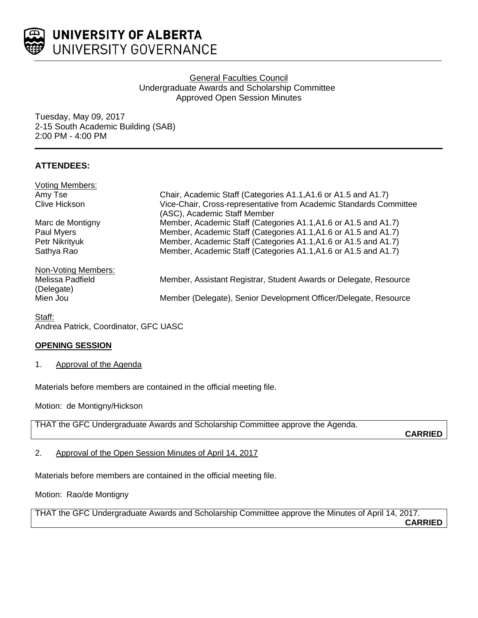

# General Faculties Council Undergraduate Awards and Scholarship Committee Approved Open Session Minutes

Tuesday, May 09, 2017 2-15 South Academic Building (SAB) 2:00 PM - 4:00 PM

# **ATTENDEES:**

| <b>Voting Members:</b>         |                                                                                                    |
|--------------------------------|----------------------------------------------------------------------------------------------------|
| Amy Tse                        | Chair, Academic Staff (Categories A1.1, A1.6 or A1.5 and A1.7)                                     |
| Clive Hickson                  | Vice-Chair, Cross-representative from Academic Standards Committee<br>(ASC), Academic Staff Member |
| Marc de Montigny               | Member, Academic Staff (Categories A1.1, A1.6 or A1.5 and A1.7)                                    |
| Paul Myers                     | Member, Academic Staff (Categories A1.1, A1.6 or A1.5 and A1.7)                                    |
| Petr Nikrityuk                 | Member, Academic Staff (Categories A1.1, A1.6 or A1.5 and A1.7)                                    |
| Sathya Rao                     | Member, Academic Staff (Categories A1.1, A1.6 or A1.5 and A1.7)                                    |
| Non-Voting Members:            |                                                                                                    |
| Melissa Padfield<br>(Delegate) | Member, Assistant Registrar, Student Awards or Delegate, Resource                                  |
| Mien Jou                       | Member (Delegate), Senior Development Officer/Delegate, Resource                                   |

Staff: Andrea Patrick, Coordinator, GFC UASC

## **OPENING SESSION**

1. Approval of the Agenda

Materials before members are contained in the official meeting file.

Motion: de Montigny/Hickson

THAT the GFC Undergraduate Awards and Scholarship Committee approve the Agenda.

**CARRIED**

2. Approval of the Open Session Minutes of April 14, 2017

Materials before members are contained in the official meeting file.

Motion: Rao/de Montigny

THAT the GFC Undergraduate Awards and Scholarship Committee approve the Minutes of April 14, 2017. **CARRIED**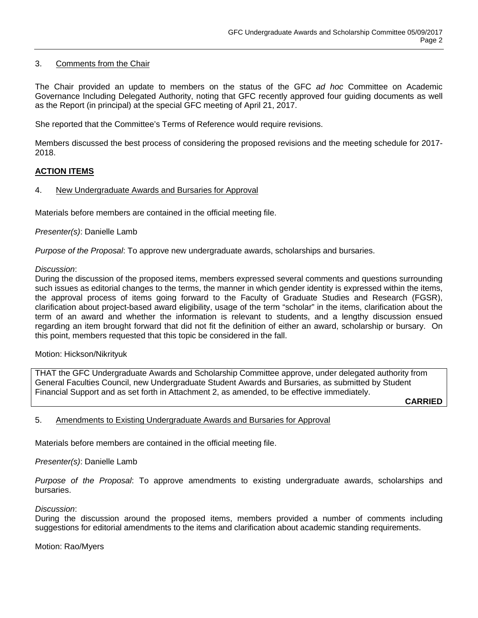## 3. Comments from the Chair

The Chair provided an update to members on the status of the GFC *ad hoc* Committee on Academic Governance Including Delegated Authority, noting that GFC recently approved four guiding documents as well as the Report (in principal) at the special GFC meeting of April 21, 2017.

She reported that the Committee's Terms of Reference would require revisions.

Members discussed the best process of considering the proposed revisions and the meeting schedule for 2017- 2018.

## **ACTION ITEMS**

### 4. New Undergraduate Awards and Bursaries for Approval

Materials before members are contained in the official meeting file.

### *Presenter(s)*: Danielle Lamb

*Purpose of the Proposal*: To approve new undergraduate awards, scholarships and bursaries.

#### *Discussion*:

During the discussion of the proposed items, members expressed several comments and questions surrounding such issues as editorial changes to the terms, the manner in which gender identity is expressed within the items, the approval process of items going forward to the Faculty of Graduate Studies and Research (FGSR), clarification about project-based award eligibility, usage of the term "scholar" in the items, clarification about the term of an award and whether the information is relevant to students, and a lengthy discussion ensued regarding an item brought forward that did not fit the definition of either an award, scholarship or bursary. On this point, members requested that this topic be considered in the fall.

#### Motion: Hickson/Nikrityuk

THAT the GFC Undergraduate Awards and Scholarship Committee approve, under delegated authority from General Faculties Council, new Undergraduate Student Awards and Bursaries, as submitted by Student Financial Support and as set forth in Attachment 2, as amended, to be effective immediately.

**CARRIED**

#### 5. Amendments to Existing Undergraduate Awards and Bursaries for Approval

Materials before members are contained in the official meeting file.

*Presenter(s)*: Danielle Lamb

*Purpose of the Proposal*: To approve amendments to existing undergraduate awards, scholarships and bursaries.

#### *Discussion*:

During the discussion around the proposed items, members provided a number of comments including suggestions for editorial amendments to the items and clarification about academic standing requirements.

Motion: Rao/Myers